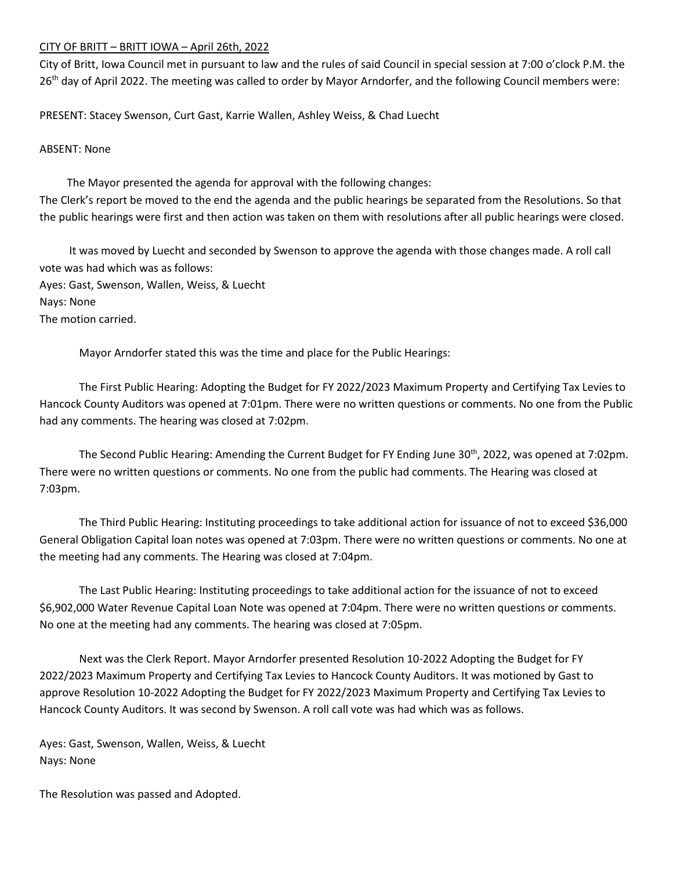## CITY OF BRITT – BRITT IOWA – April 26th, 2022

City of Britt, Iowa Council met in pursuant to law and the rules of said Council in special session at 7:00 o'clock P.M. the 26<sup>th</sup> day of April 2022. The meeting was called to order by Mayor Arndorfer, and the following Council members were:

PRESENT: Stacey Swenson, Curt Gast, Karrie Wallen, Ashley Weiss, & Chad Luecht

## ABSENT: None

 The Mayor presented the agenda for approval with the following changes: The Clerk's report be moved to the end the agenda and the public hearings be separated from the Resolutions. So that the public hearings were first and then action was taken on them with resolutions after all public hearings were closed.

It was moved by Luecht and seconded by Swenson to approve the agenda with those changes made. A roll call vote was had which was as follows: Ayes: Gast, Swenson, Wallen, Weiss, & Luecht Nays: None The motion carried.

Mayor Arndorfer stated this was the time and place for the Public Hearings:

The First Public Hearing: Adopting the Budget for FY 2022/2023 Maximum Property and Certifying Tax Levies to Hancock County Auditors was opened at 7:01pm. There were no written questions or comments. No one from the Public had any comments. The hearing was closed at 7:02pm.

The Second Public Hearing: Amending the Current Budget for FY Ending June 30th, 2022, was opened at 7:02pm. There were no written questions or comments. No one from the public had comments. The Hearing was closed at 7:03pm.

The Third Public Hearing: Instituting proceedings to take additional action for issuance of not to exceed \$36,000 General Obligation Capital loan notes was opened at 7:03pm. There were no written questions or comments. No one at the meeting had any comments. The Hearing was closed at 7:04pm.

The Last Public Hearing: Instituting proceedings to take additional action for the issuance of not to exceed \$6,902,000 Water Revenue Capital Loan Note was opened at 7:04pm. There were no written questions or comments. No one at the meeting had any comments. The hearing was closed at 7:05pm.

Next was the Clerk Report. Mayor Arndorfer presented Resolution 10-2022 Adopting the Budget for FY 2022/2023 Maximum Property and Certifying Tax Levies to Hancock County Auditors. It was motioned by Gast to approve Resolution 10-2022 Adopting the Budget for FY 2022/2023 Maximum Property and Certifying Tax Levies to Hancock County Auditors. It was second by Swenson. A roll call vote was had which was as follows.

Ayes: Gast, Swenson, Wallen, Weiss, & Luecht Nays: None

The Resolution was passed and Adopted.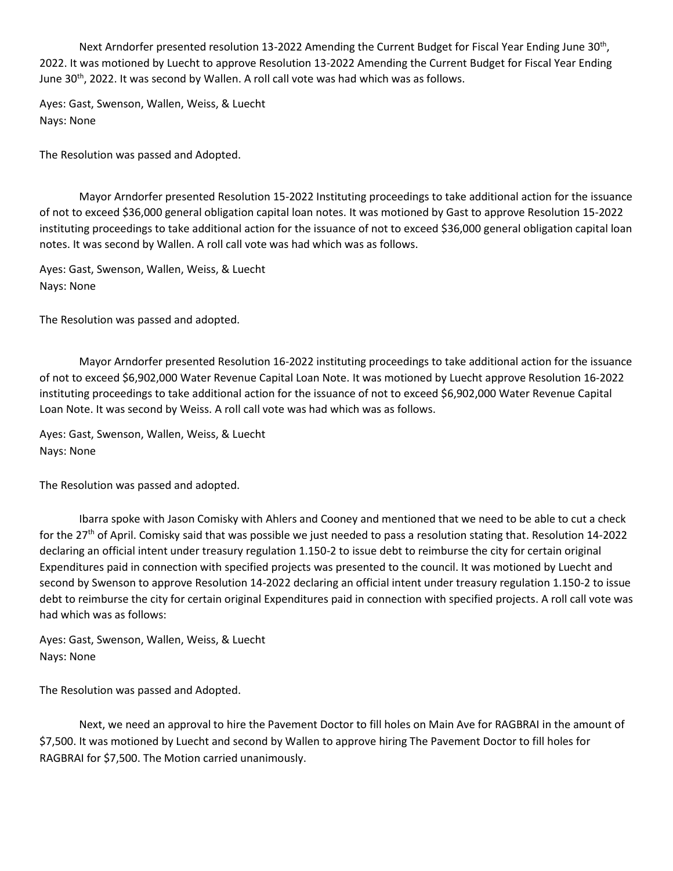Next Arndorfer presented resolution 13-2022 Amending the Current Budget for Fiscal Year Ending June 30<sup>th</sup>, 2022. It was motioned by Luecht to approve Resolution 13-2022 Amending the Current Budget for Fiscal Year Ending June 30<sup>th</sup>, 2022. It was second by Wallen. A roll call vote was had which was as follows.

Ayes: Gast, Swenson, Wallen, Weiss, & Luecht Nays: None

The Resolution was passed and Adopted.

Mayor Arndorfer presented Resolution 15-2022 Instituting proceedings to take additional action for the issuance of not to exceed \$36,000 general obligation capital loan notes. It was motioned by Gast to approve Resolution 15-2022 instituting proceedings to take additional action for the issuance of not to exceed \$36,000 general obligation capital loan notes. It was second by Wallen. A roll call vote was had which was as follows.

Ayes: Gast, Swenson, Wallen, Weiss, & Luecht Nays: None

The Resolution was passed and adopted.

Mayor Arndorfer presented Resolution 16-2022 instituting proceedings to take additional action for the issuance of not to exceed \$6,902,000 Water Revenue Capital Loan Note. It was motioned by Luecht approve Resolution 16-2022 instituting proceedings to take additional action for the issuance of not to exceed \$6,902,000 Water Revenue Capital Loan Note. It was second by Weiss. A roll call vote was had which was as follows.

Ayes: Gast, Swenson, Wallen, Weiss, & Luecht Nays: None

The Resolution was passed and adopted.

Ibarra spoke with Jason Comisky with Ahlers and Cooney and mentioned that we need to be able to cut a check for the 27<sup>th</sup> of April. Comisky said that was possible we just needed to pass a resolution stating that. Resolution 14-2022 declaring an official intent under treasury regulation 1.150-2 to issue debt to reimburse the city for certain original Expenditures paid in connection with specified projects was presented to the council. It was motioned by Luecht and second by Swenson to approve Resolution 14-2022 declaring an official intent under treasury regulation 1.150-2 to issue debt to reimburse the city for certain original Expenditures paid in connection with specified projects. A roll call vote was had which was as follows:

Ayes: Gast, Swenson, Wallen, Weiss, & Luecht Nays: None

The Resolution was passed and Adopted.

Next, we need an approval to hire the Pavement Doctor to fill holes on Main Ave for RAGBRAI in the amount of \$7,500. It was motioned by Luecht and second by Wallen to approve hiring The Pavement Doctor to fill holes for RAGBRAI for \$7,500. The Motion carried unanimously.